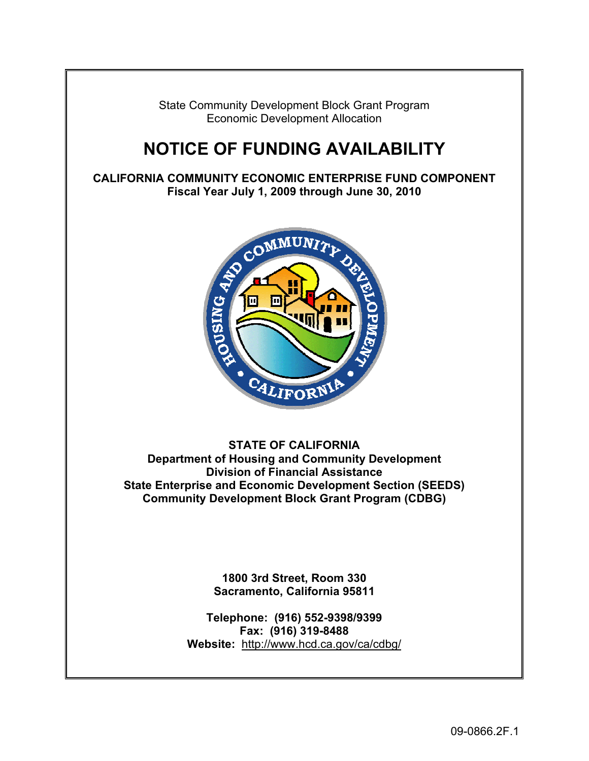State Community Development Block Grant Program Economic Development Allocation

## **NOTICE OF FUNDING AVAILABILITY**

**CALIFORNIA COMMUNITY ECONOMIC ENTERPRISE FUND COMPONENT Fiscal Year July 1, 2009 through June 30, 2010** 



**STATE OF CALIFORNIA Department of Housing and Community Development Division of Financial Assistance State Enterprise and Economic Development Section (SEEDS) Community Development Block Grant Program (CDBG)** 

> **1800 3rd Street, Room 330 Sacramento, California 95811**

**Telephone: (916) 552-9398/9399 Fax: (916) 319-8488 Website:** http://www.hcd.ca.gov/ca/cdbg/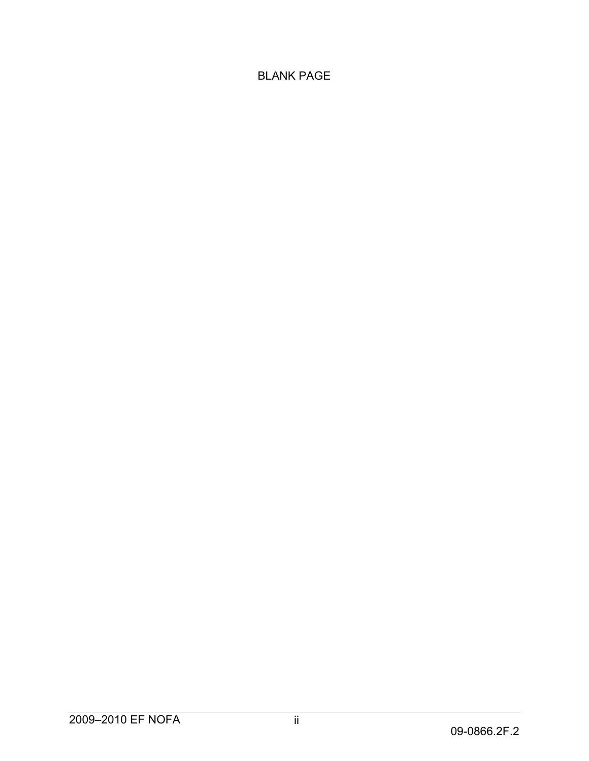#### **BLANK PAGE**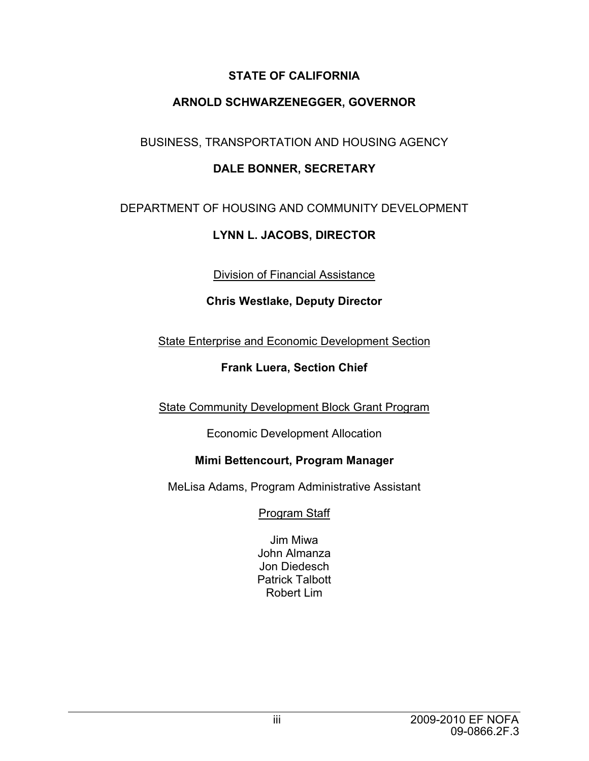#### **STATE OF CALIFORNIA**

#### **ARNOLD SCHWARZENEGGER, GOVERNOR**

#### BUSINESS, TRANSPORTATION AND HOUSING AGENCY

#### **DALE BONNER, SECRETARY**

### DEPARTMENT OF HOUSING AND COMMUNITY DEVELOPMENT

## **LYNN L. JACOBS, DIRECTOR**

Division of Financial Assistance

## **Chris Westlake, Deputy Director**

State Enterprise and Economic Development Section

### **Frank Luera, Section Chief**

State Community Development Block Grant Program

Economic Development Allocation

### **Mimi Bettencourt, Program Manager**

MeLisa Adams, Program Administrative Assistant

Program Staff

Jim Miwa John Almanza Jon Diedesch Patrick Talbott Robert Lim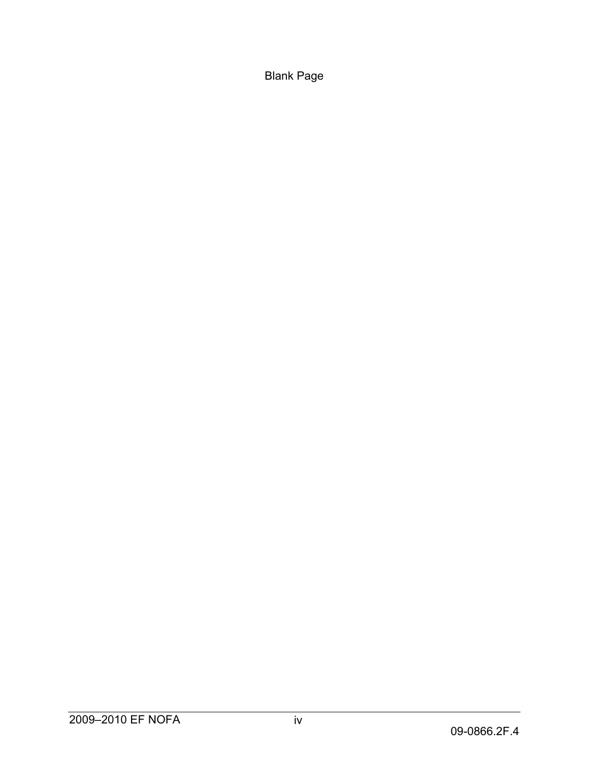**Blank Page**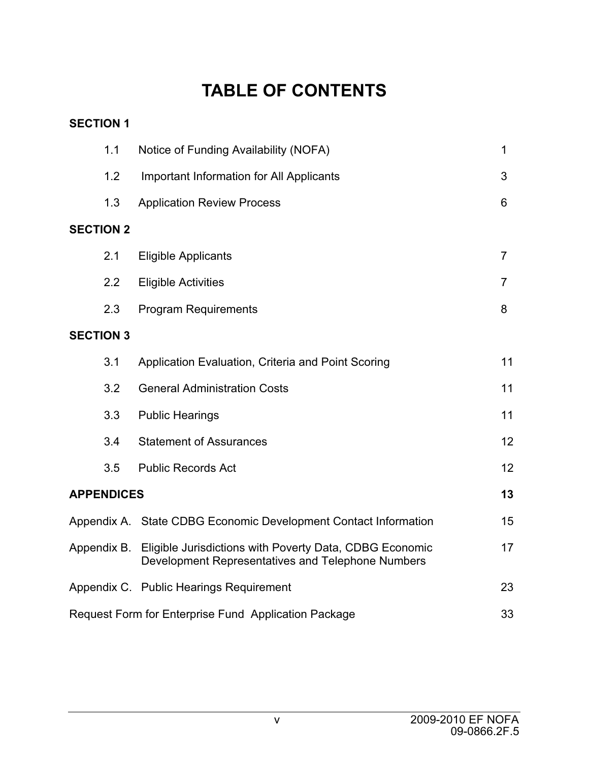## **TABLE OF CONTENTS**

| <b>SECTION 1</b>                                     |         |                                                                                                                          |                |
|------------------------------------------------------|---------|--------------------------------------------------------------------------------------------------------------------------|----------------|
|                                                      | 1.1     | Notice of Funding Availability (NOFA)                                                                                    | 1              |
|                                                      | 1.2     | <b>Important Information for All Applicants</b>                                                                          | 3              |
|                                                      | 1.3     | <b>Application Review Process</b>                                                                                        | 6              |
| <b>SECTION 2</b>                                     |         |                                                                                                                          |                |
|                                                      | 2.1     | <b>Eligible Applicants</b>                                                                                               | $\overline{7}$ |
|                                                      | $2.2\,$ | <b>Eligible Activities</b>                                                                                               | 7              |
|                                                      | 2.3     | <b>Program Requirements</b>                                                                                              | 8              |
| <b>SECTION 3</b>                                     |         |                                                                                                                          |                |
|                                                      | 3.1     | Application Evaluation, Criteria and Point Scoring                                                                       | 11             |
|                                                      | 3.2     | <b>General Administration Costs</b>                                                                                      | 11             |
|                                                      | 3.3     | <b>Public Hearings</b>                                                                                                   | 11             |
|                                                      | 3.4     | <b>Statement of Assurances</b>                                                                                           | 12             |
|                                                      | 3.5     | <b>Public Records Act</b>                                                                                                | 12             |
| <b>APPENDICES</b>                                    |         |                                                                                                                          | 13             |
|                                                      |         | Appendix A. State CDBG Economic Development Contact Information                                                          | 15             |
|                                                      |         | Appendix B. Eligible Jurisdictions with Poverty Data, CDBG Economic<br>Development Representatives and Telephone Numbers | 17             |
|                                                      |         | Appendix C. Public Hearings Requirement                                                                                  | 23             |
| Request Form for Enterprise Fund Application Package |         |                                                                                                                          | 33             |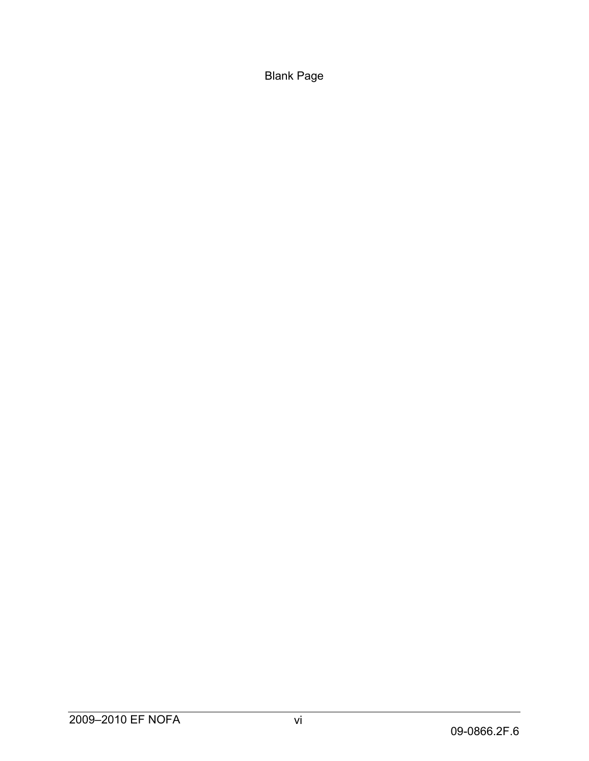**Blank Page**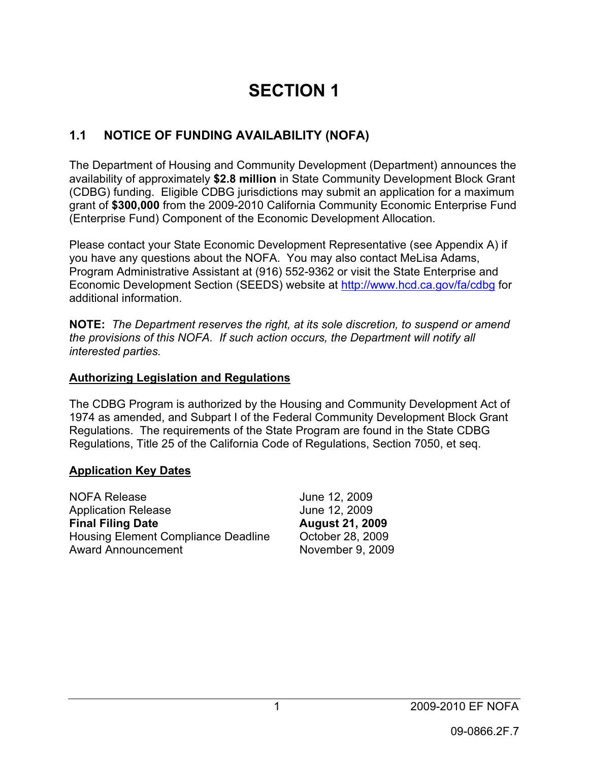# **SECTION 1**

## **1.1 NOTICE OF FUNDING AVAILABILITY (NOFA)**

The Department of Housing and Community Development (Department) announces the availability of approximately **\$2.8 million** in State Community Development Block Grant (CDBG) funding. Eligible CDBG jurisdictions may submit an application for a maximum grant of **\$300,000** from the 2009-2010 California Community Economic Enterprise Fund (Enterprise Fund) Component of the Economic Development Allocation.

Please contact your State Economic Development Representative (see Appendix A) if you have any questions about the NOFA. You may also contact MeLisa Adams, Program Administrative Assistant at (916) 552-9362 or visit the State Enterprise and Economic Development Section (SEEDS) website at http://www.hcd.ca.gov/fa/cdbg for additional information.

**NOTE:** *The Department reserves the right, at its sole discretion, to suspend or amend the provisions of this NOFA. If such action occurs, the Department will notify all interested parties.*

#### **Authorizing Legislation and Regulations**

The CDBG Program is authorized by the Housing and Community Development Act of 1974 as amended, and Subpart I of the Federal Community Development Block Grant Regulations. The requirements of the State Program are found in the State CDBG Regulations, Title 25 of the California Code of Regulations, Section 7050, et seq.

#### **Application Key Dates**

NOFA Release June 12, 2009 Application Release June 12, 2009 **Final Filing Date August 21, 2009** Housing Element Compliance Deadline October 28, 2009 Award Announcement November 9, 2009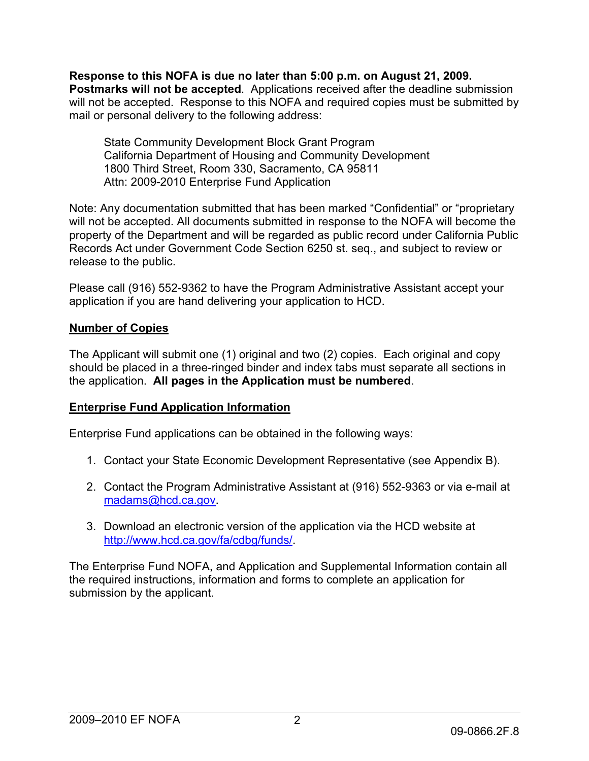**Response to this NOFA is due no later than 5:00 p.m. on August 21, 2009. Postmarks will not be accepted**. Applications received after the deadline submission will not be accepted. Response to this NOFA and required copies must be submitted by mail or personal delivery to the following address:

State Community Development Block Grant Program California Department of Housing and Community Development 1800 Third Street, Room 330, Sacramento, CA 95811 Attn: 2009-2010 Enterprise Fund Application

Note: Any documentation submitted that has been marked "Confidential" or "proprietary will not be accepted. All documents submitted in response to the NOFA will become the property of the Department and will be regarded as public record under California Public Records Act under Government Code Section 6250 st. seq., and subject to review or release to the public.

Please call (916) 552-9362 to have the Program Administrative Assistant accept your application if you are hand delivering your application to HCD.

#### **Number of Copies**

The Applicant will submit one (1) original and two (2) copies. Each original and copy should be placed in a three-ringed binder and index tabs must separate all sections in the application. **All pages in the Application must be numbered**.

#### **Enterprise Fund Application Information**

Enterprise Fund applications can be obtained in the following ways:

- 1. Contact your State Economic Development Representative (see Appendix B).
- 2. Contact the Program Administrative Assistant at (916) 552-9363 or via e-mail at madams@hcd.ca.gov.
- 3. Download an electronic version of the application via the HCD website at http://www.hcd.ca.gov/fa/cdbg/funds/.

The Enterprise Fund NOFA, and Application and Supplemental Information contain all the required instructions, information and forms to complete an application for submission by the applicant.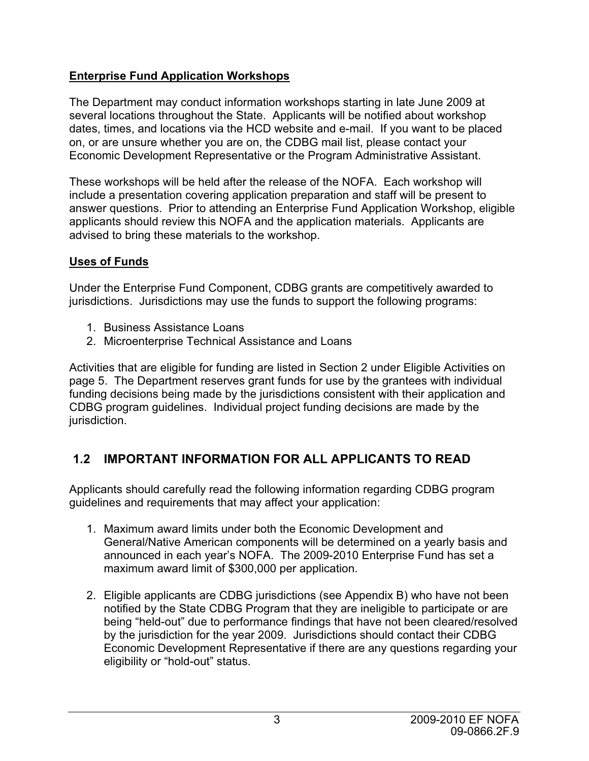#### **Enterprise Fund Application Workshops**

The Department may conduct information workshops starting in late June 2009 at several locations throughout the State. Applicants will be notified about workshop dates, times, and locations via the HCD website and e-mail. If you want to be placed on, or are unsure whether you are on, the CDBG mail list, please contact your Economic Development Representative or the Program Administrative Assistant.

These workshops will be held after the release of the NOFA. Each workshop will include a presentation covering application preparation and staff will be present to answer questions. Prior to attending an Enterprise Fund Application Workshop, eligible applicants should review this NOFA and the application materials. Applicants are advised to bring these materials to the workshop.

## **Uses of Funds**

Under the Enterprise Fund Component, CDBG grants are competitively awarded to jurisdictions. Jurisdictions may use the funds to support the following programs:

- 1. Business Assistance Loans
- 2. Microenterprise Technical Assistance and Loans

Activities that are eligible for funding are listed in Section 2 under Eligible Activities on page 5. The Department reserves grant funds for use by the grantees with individual funding decisions being made by the jurisdictions consistent with their application and CDBG program guidelines. Individual project funding decisions are made by the jurisdiction.

## **1.2 IMPORTANT INFORMATION FOR ALL APPLICANTS TO READ**

Applicants should carefully read the following information regarding CDBG program guidelines and requirements that may affect your application:

- 1. Maximum award limits under both the Economic Development and General/Native American components will be determined on a yearly basis and announced in each year's NOFA. The 2009-2010 Enterprise Fund has set a maximum award limit of \$300,000 per application.
- 2. Eligible applicants are CDBG jurisdictions (see Appendix B) who have not been notified by the State CDBG Program that they are ineligible to participate or are being "held-out" due to performance findings that have not been cleared/resolved by the jurisdiction for the year 2009. Jurisdictions should contact their CDBG Economic Development Representative if there are any questions regarding your eligibility or "hold-out" status.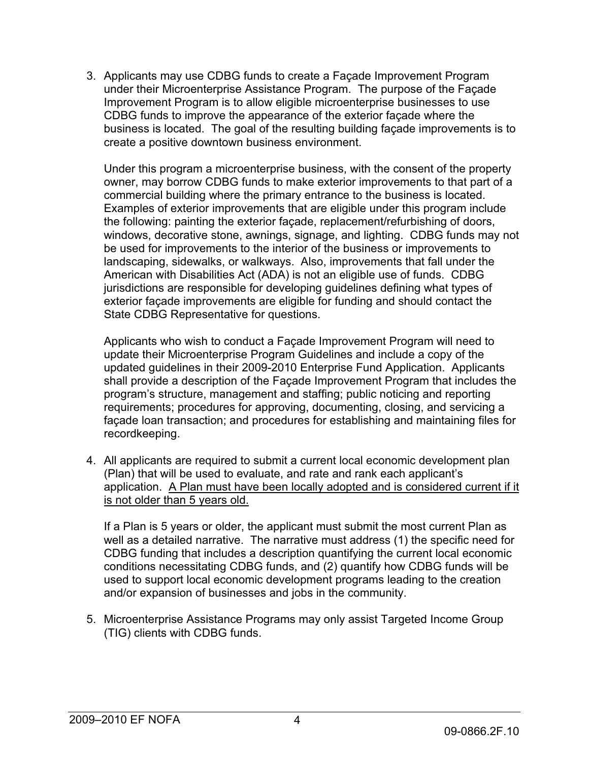3. Applicants may use CDBG funds to create a Façade Improvement Program under their Microenterprise Assistance Program. The purpose of the Façade Improvement Program is to allow eligible microenterprise businesses to use CDBG funds to improve the appearance of the exterior façade where the business is located. The goal of the resulting building façade improvements is to create a positive downtown business environment.

Under this program a microenterprise business, with the consent of the property owner, may borrow CDBG funds to make exterior improvements to that part of a commercial building where the primary entrance to the business is located. Examples of exterior improvements that are eligible under this program include the following: painting the exterior façade, replacement/refurbishing of doors, windows, decorative stone, awnings, signage, and lighting. CDBG funds may not be used for improvements to the interior of the business or improvements to landscaping, sidewalks, or walkways. Also, improvements that fall under the American with Disabilities Act (ADA) is not an eligible use of funds. CDBG jurisdictions are responsible for developing guidelines defining what types of exterior façade improvements are eligible for funding and should contact the State CDBG Representative for questions.

Applicants who wish to conduct a Façade Improvement Program will need to update their Microenterprise Program Guidelines and include a copy of the updated guidelines in their 2009-2010 Enterprise Fund Application. Applicants shall provide a description of the Façade Improvement Program that includes the program's structure, management and staffing; public noticing and reporting requirements; procedures for approving, documenting, closing, and servicing a façade loan transaction; and procedures for establishing and maintaining files for recordkeeping.

4. All applicants are required to submit a current local economic development plan (Plan) that will be used to evaluate, and rate and rank each applicant's application. A Plan must have been locally adopted and is considered current if it is not older than 5 years old.

If a Plan is 5 years or older, the applicant must submit the most current Plan as well as a detailed narrative. The narrative must address (1) the specific need for CDBG funding that includes a description quantifying the current local economic conditions necessitating CDBG funds, and (2) quantify how CDBG funds will be used to support local economic development programs leading to the creation and/or expansion of businesses and jobs in the community.

5. Microenterprise Assistance Programs may only assist Targeted Income Group (TIG) clients with CDBG funds.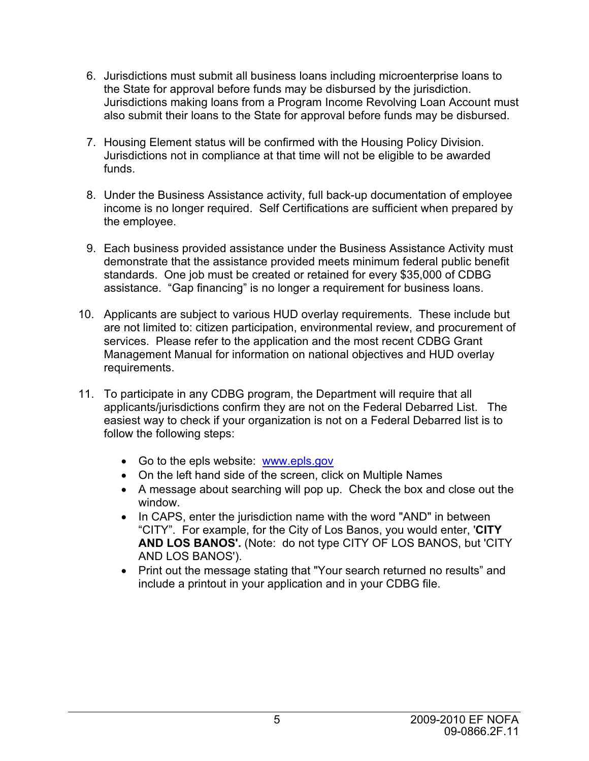- 6. Jurisdictions must submit all business loans including microenterprise loans to the State for approval before funds may be disbursed by the jurisdiction. Jurisdictions making loans from a Program Income Revolving Loan Account must also submit their loans to the State for approval before funds may be disbursed.
- 7. Housing Element status will be confirmed with the Housing Policy Division. Jurisdictions not in compliance at that time will not be eligible to be awarded funds.
- 8. Under the Business Assistance activity, full back-up documentation of employee income is no longer required. Self Certifications are sufficient when prepared by the employee.
- 9. Each business provided assistance under the Business Assistance Activity must demonstrate that the assistance provided meets minimum federal public benefit standards. One job must be created or retained for every \$35,000 of CDBG assistance. "Gap financing" is no longer a requirement for business loans.
- 10. Applicants are subject to various HUD overlay requirements. These include but are not limited to: citizen participation, environmental review, and procurement of services. Please refer to the application and the most recent CDBG Grant Management Manual for information on national objectives and HUD overlay requirements.
- 11. To participate in any CDBG program, the Department will require that all applicants/jurisdictions confirm they are not on the Federal Debarred List. The easiest way to check if your organization is not on a Federal Debarred list is to follow the following steps:
	- Go to the epls website: www.epls.gov
	- On the left hand side of the screen, click on Multiple Names
	- A message about searching will pop up. Check the box and close out the window.
	- In CAPS, enter the jurisdiction name with the word "AND" in between "CITY". For example, for the City of Los Banos, you would enter, '**CITY AND LOS BANOS'.** (Note: do not type CITY OF LOS BANOS, but 'CITY AND LOS BANOS').
	- $\bullet$  Print out the message stating that "Your search returned no results" and include a printout in your application and in your CDBG file.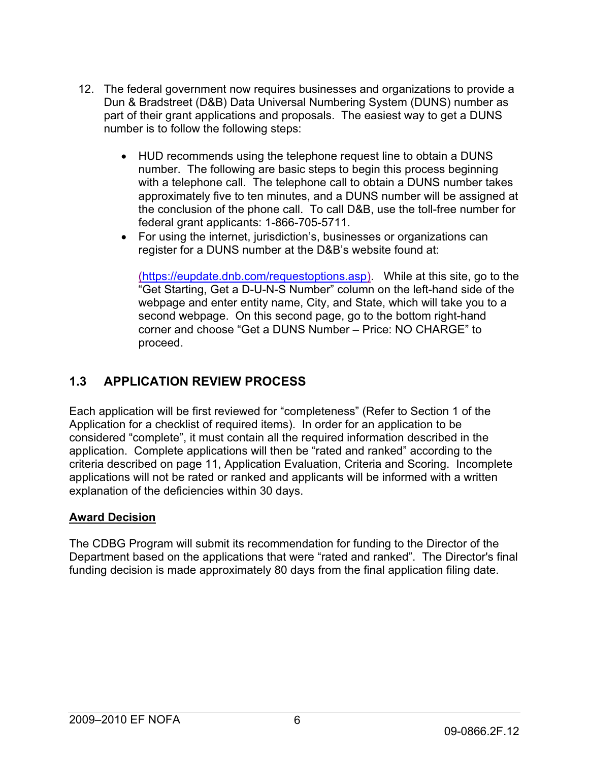- 12. The federal government now requires businesses and organizations to provide a Dun & Bradstreet (D&B) Data Universal Numbering System (DUNS) number as part of their grant applications and proposals. The easiest way to get a DUNS number is to follow the following steps:
	- HUD recommends using the telephone request line to obtain a DUNS number. The following are basic steps to begin this process beginning with a telephone call. The telephone call to obtain a DUNS number takes approximately five to ten minutes, and a DUNS number will be assigned at the conclusion of the phone call. To call D&B, use the toll-free number for federal grant applicants: 1-866-705-5711.
	- $\bullet$  For using the internet, jurisdiction's, businesses or organizations can register for a DUNS number at the D&B's website found at:

(https://eupdate.dnb.com/requestoptions.asp). While at this site, go to the "Get Starting, Get a D-U-N-S Number" column on the left-hand side of the webpage and enter entity name, City, and State, which will take you to a second webpage. On this second page, go to the bottom right-hand corner and choose "Get a DUNS Number – Price: NO CHARGE" to proceed.

#### **1.3 APPLICATION REVIEW PROCESS**

Each application will be first reviewed for "completeness" (Refer to Section 1 of the Application for a checklist of required items). In order for an application to be considered "complete", it must contain all the required information described in the application. Complete applications will then be "rated and ranked" according to the criteria described on page 11, Application Evaluation, Criteria and Scoring. Incomplete applications will not be rated or ranked and applicants will be informed with a written explanation of the deficiencies within 30 days.

#### **Award Decision**

The CDBG Program will submit its recommendation for funding to the Director of the Department based on the applications that were "rated and ranked". The Director's final funding decision is made approximately 80 days from the final application filing date.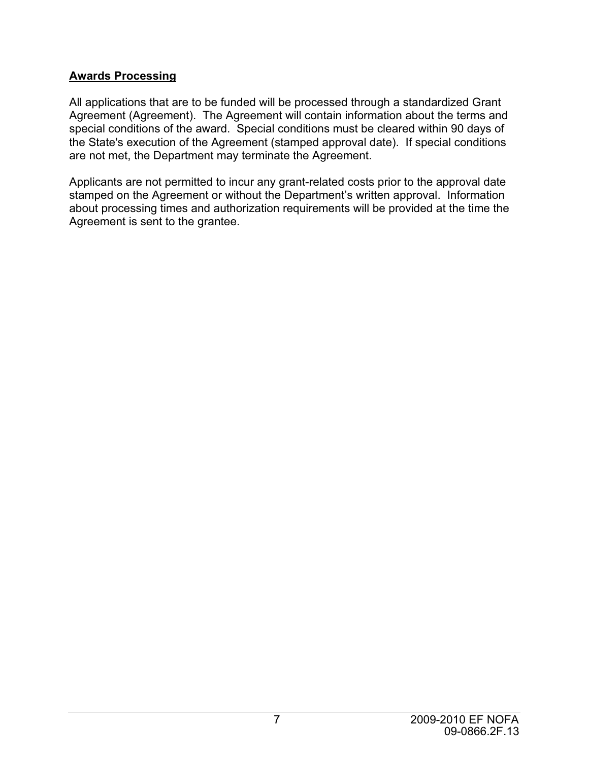#### **Awards Processing**

All applications that are to be funded will be processed through a standardized Grant Agreement (Agreement). The Agreement will contain information about the terms and special conditions of the award. Special conditions must be cleared within 90 days of the State's execution of the Agreement (stamped approval date). If special conditions are not met, the Department may terminate the Agreement.

Applicants are not permitted to incur any grant-related costs prior to the approval date stamped on the Agreement or without the Department's written approval. Information about processing times and authorization requirements will be provided at the time the Agreement is sent to the grantee.